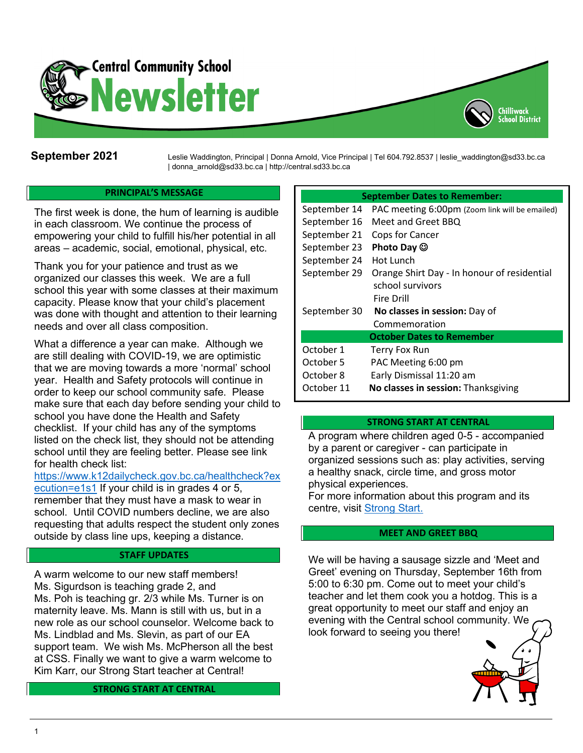

September 2021 Leslie Waddington, Principal | Donna Arnold, Vice Principal | Tel 604.792.8537 | leslie\_waddington@sd33.bc.ca | donna\_arnold@sd33.bc.ca | http://central.sd33.bc.ca

## **PRINCIPAL'S MESSAGE**

The first week is done, the hum of learning is audible in each classroom. We continue the process of empowering your child to fulfill his/her potential in all areas – academic, social, emotional, physical, etc.

Thank you for your patience and trust as we organized our classes this week. We are a full school this year with some classes at their maximum capacity. Please know that your child's placement was done with thought and attention to their learning needs and over all class composition.

What a difference a year can make. Although we are still dealing with COVID-19, we are optimistic that we are moving towards a more 'normal' school year. Health and Safety protocols will continue in order to keep our school community safe. Please make sure that each day before sending your child to school you have done the Health and Safety checklist. If your child has any of the symptoms listed on the check list, they should not be attending school until they are feeling better. Please see link for health check list:

[https://www.k12dailycheck.gov.bc.ca/healthcheck?ex](https://www.k12dailycheck.gov.bc.ca/healthcheck?execution=e1s1) [ecution=e1s1](https://www.k12dailycheck.gov.bc.ca/healthcheck?execution=e1s1) If your child is in grades 4 or 5, remember that they must have a mask to wear in school. Until COVID numbers decline, we are also requesting that adults respect the student only zones outside by class line ups, keeping a distance.

#### **STAFF UPDATES**

A warm welcome to our new staff members! Ms. Sigurdson is teaching grade 2, and Ms. Poh is teaching gr. 2/3 while Ms. Turner is on maternity leave. Ms. Mann is still with us, but in a new role as our school counselor. Welcome back to Ms. Lindblad and Ms. Slevin, as part of our EA support team. We wish Ms. McPherson all the best at CSS. Finally we want to give a warm welcome to Kim Karr, our Strong Start teacher at Central!

#### **STRONG START AT CENTRAL**

#### **September Dates to Remember:**

Chilliwack summas.<br>School District

| September 14                     | PAC meeting 6:00pm (Zoom link will be emailed) |  |
|----------------------------------|------------------------------------------------|--|
| September 16                     | Meet and Greet BBQ                             |  |
| September 21                     | Cops for Cancer                                |  |
| September 23                     | Photo Day $\odot$                              |  |
| September 24                     | Hot Lunch                                      |  |
| September 29                     | Orange Shirt Day - In honour of residential    |  |
|                                  | school survivors                               |  |
|                                  | Fire Drill                                     |  |
| September 30                     | No classes in session: Day of                  |  |
|                                  | Commemoration                                  |  |
| <b>October Dates to Remember</b> |                                                |  |
| October 1                        | Terry Fox Run                                  |  |
| October 5                        | PAC Meeting 6:00 pm                            |  |
| October 8                        | Early Dismissal 11:20 am                       |  |
| October 11                       | No classes in session: Thanksgiving            |  |
|                                  |                                                |  |

### **STRONG START AT CENTRAL**

A program where children aged 0-5 - accompanied by a parent or caregiver - can participate in organized sessions such as: play activities, serving a healthy snack, circle time, and gross motor physical experiences.

For more information about this program and its centre, visit [Strong Start.](https://www.sd33.bc.ca/strong-start)

## **MEET AND GREET BBQ**

We will be having a sausage sizzle and 'Meet and Greet' evening on Thursday, September 16th from 5:00 to 6:30 pm. Come out to meet your child's teacher and let them cook you a hotdog. This is a great opportunity to meet our staff and enjoy an evening with the Central school community. We look forward to seeing you there!

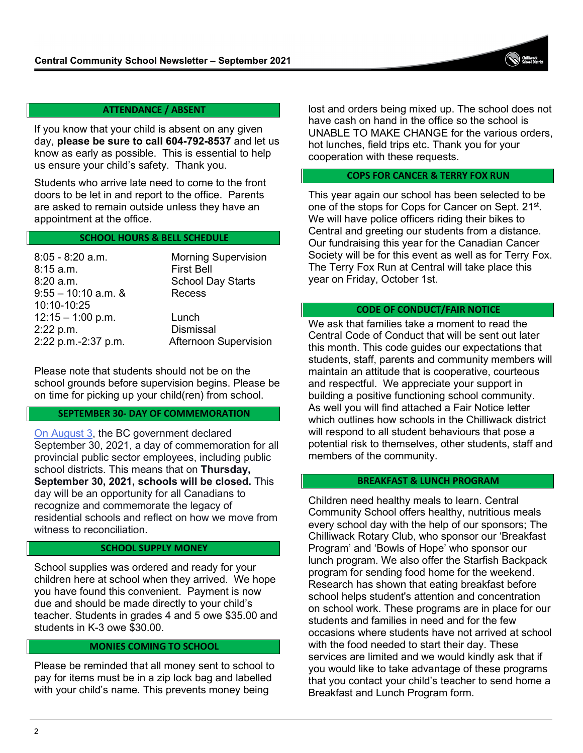## **ATTENDANCE / ABSENT**

If you know that your child is absent on any given day, **please be sure to call 604-792-8537** and let us know as early as possible. This is essential to help us ensure your child's safety. Thank you.

Students who arrive late need to come to the front doors to be let in and report to the office. Parents are asked to remain outside unless they have an appointment at the office.

## **SCHOOL HOURS & BELL SCHEDULE**

| $8:05 - 8:20$ a.m.<br>$8:15$ a.m.    | <b>Morning Supervision</b><br><b>First Bell</b> |
|--------------------------------------|-------------------------------------------------|
| 8:20 a.m.                            | <b>School Day Starts</b>                        |
| $9:55 - 10:10$ a.m. &<br>10:10-10:25 | Recess                                          |
| $12:15 - 1:00$ p.m.<br>2:22 p.m.     | Lunch<br><b>Dismissal</b>                       |
| 2:22 p.m.-2:37 p.m.                  | <b>Afternoon Supervision</b>                    |

Please note that students should not be on the school grounds before supervision begins. Please be on time for picking up your child(ren) from school.

#### **SEPTEMBER 30- DAY OF COMMEMORATION**

[On August 3,](https://news.gov.bc.ca/releases/2021FIN0048-001531) the BC government declared September 30, 2021, a day of commemoration for all provincial public sector employees, including public school districts. This means that on **Thursday, September 30, 2021, schools will be closed.** This day will be an opportunity for all Canadians to recognize and commemorate the legacy of residential schools and reflect on how we move from witness to reconciliation.

#### **SCHOOL SUPPLY MONEY**

School supplies was ordered and ready for your children here at school when they arrived. We hope you have found this convenient. Payment is now due and should be made directly to your child's teacher. Students in grades 4 and 5 owe \$35.00 and students in K-3 owe \$30.00.

### **MONIES COMING TO SCHOOL**

Please be reminded that all money sent to school to pay for items must be in a zip lock bag and labelled with your child's name. This prevents money being

lost and orders being mixed up. The school does not have cash on hand in the office so the school is UNABLE TO MAKE CHANGE for the various orders, hot lunches, field trips etc. Thank you for your cooperation with these requests.

### **COPS FOR CANCER & TERRY FOX RUN**

This year again our school has been selected to be one of the stops for Cops for Cancer on Sept. 21<sup>st</sup>. We will have police officers riding their bikes to Central and greeting our students from a distance. Our fundraising this year for the Canadian Cancer Society will be for this event as well as for Terry Fox. The Terry Fox Run at Central will take place this year on Friday, October 1st.

#### **CODE OF CONDUCT/FAIR NOTICE**

We ask that families take a moment to read the Central Code of Conduct that will be sent out later this month. This code guides our expectations that students, staff, parents and community members will maintain an attitude that is cooperative, courteous and respectful. We appreciate your support in building a positive functioning school community. As well you will find attached a Fair Notice letter which outlines how schools in the Chilliwack district will respond to all student behaviours that pose a potential risk to themselves, other students, staff and members of the community.

### **BREAKFAST & LUNCH PROGRAM**

Children need healthy meals to learn. Central Community School offers healthy, nutritious meals every school day with the help of our sponsors; The Chilliwack Rotary Club, who sponsor our 'Breakfast Program' and 'Bowls of Hope' who sponsor our lunch program. We also offer the Starfish Backpack program for sending food home for the weekend. Research has shown that eating breakfast before school helps student's attention and concentration on school work. These programs are in place for our students and families in need and for the few occasions where students have not arrived at school with the food needed to start their day. These services are limited and we would kindly ask that if you would like to take advantage of these programs that you contact your child's teacher to send home a Breakfast and Lunch Program form.